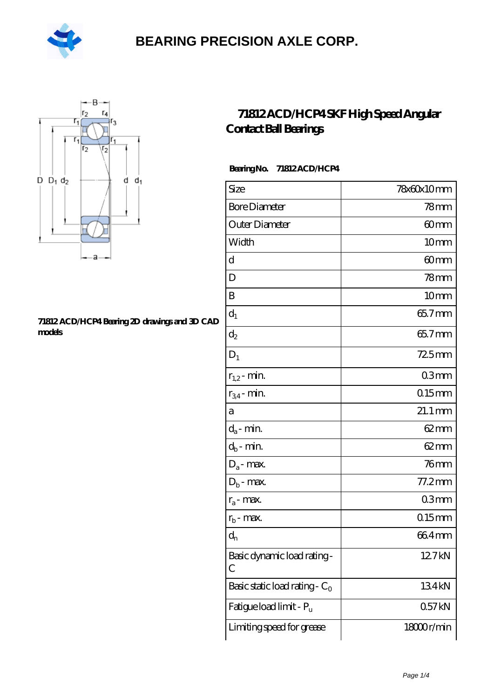



#### **[71812 ACD/HCP4 Bearing 2D drawings and 3D CAD](https://m.hilalanaokulu.com/pic-660767.html) [models](https://m.hilalanaokulu.com/pic-660767.html)**

### **[71812 ACD/HCP4 SKF High Speed Angular](https://m.hilalanaokulu.com/skf-bearings/71812-acd-hcp4.html) [Contact Ball Bearings](https://m.hilalanaokulu.com/skf-bearings/71812-acd-hcp4.html)**

#### **Bearing No. 71812 ACD/HCP4**

| Size                             | 78x60x10mm       |
|----------------------------------|------------------|
| <b>Bore Diameter</b>             | 78 <sub>mm</sub> |
| Outer Diameter                   | 60mm             |
| Width                            | 10 <sub>mm</sub> |
| d                                | 60mm             |
| D                                | $78$ mm          |
| B                                | 10mm             |
| $d_1$                            | 65.7mm           |
| $\mathrm{d}_2$                   | 65.7mm           |
| $D_1$                            | 725mm            |
| $r_{1,2}$ - min.                 | 03mm             |
| $r_{34}$ - min.                  | $0.15$ mm        |
| а                                | 21.1 mm          |
| $d_a$ - min.                     | $62 \text{mm}$   |
| $d_b$ - min.                     | $62 \text{mm}$   |
| $D_a$ - max.                     | 76 <sub>mm</sub> |
| $D_b$ - max.                     | 77.2mm           |
| $r_a$ - max.                     | 03 <sub>mm</sub> |
| $r_{b}$ - max.                   | $0.15$ mm        |
| $d_{n}$                          | 664mm            |
| Basic dynamic load rating-<br>С  | 12.7kN           |
| Basic static load rating - $C_0$ | 134kN            |
| Fatigue load limit - Pu          | 057kN            |
| Limiting speed for grease        | 18000r/min       |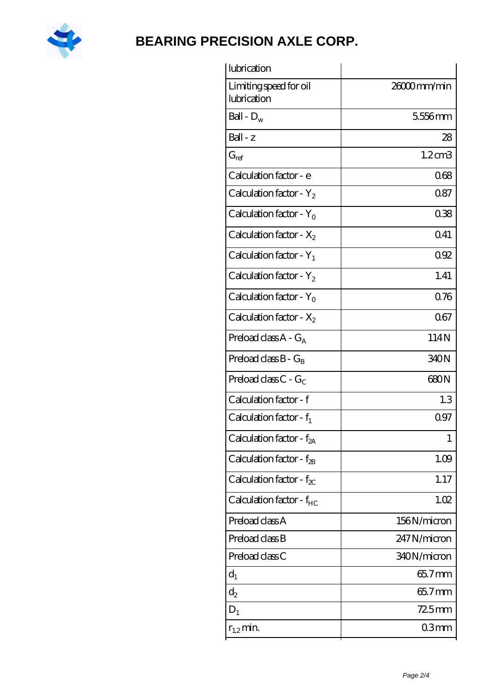

| lubrication                           |             |
|---------------------------------------|-------------|
| Limiting speed for oil<br>lubrication | 26000mm/min |
| Ball - $D_w$                          | 5556mm      |
| $Ball - z$                            | 28          |
| $G_{ref}$                             | 1.2cm3      |
| Calculation factor - e                | 068         |
| Calculation factor - $Y_2$            | 0.87        |
| Calculation factor - $Y_0$            | 038         |
| Calculation factor - $X_2$            | Q41         |
| Calculation factor - $Y_1$            | 092         |
| Calculation factor - $Y_2$            | 1.41        |
| Calculation factor - $Y_0$            | 0.76        |
| Calculation factor - $X_2$            | 067         |
| Preload class $A - G_A$               | 114N        |
| Preload class $B - G_B$               | 340N        |
| Preload class $C - G_C$               | 680N        |
| Calculation factor - f                | 1.3         |
| Calculation factor - $f_1$            | 0.97        |
| Calculation factor - f <sub>2A</sub>  | 1           |
| Calculation factor - f <sub>2B</sub>  | 1.09        |
| Calculation factor - $f_{\chi}$       | 1.17        |
| Calculation factor - $f_{HC}$         | 1.02        |
| Preload class A                       | 156N/micron |
| Preload class B                       | 247N/micron |
| Preload class C                       | 340N/micron |
| $d_1$                                 | 65.7mm      |
| $d_2$                                 | 65.7mm      |
| $D_1$                                 | $725$ mm    |
| $r_{1,2}$ min.                        | 03mm        |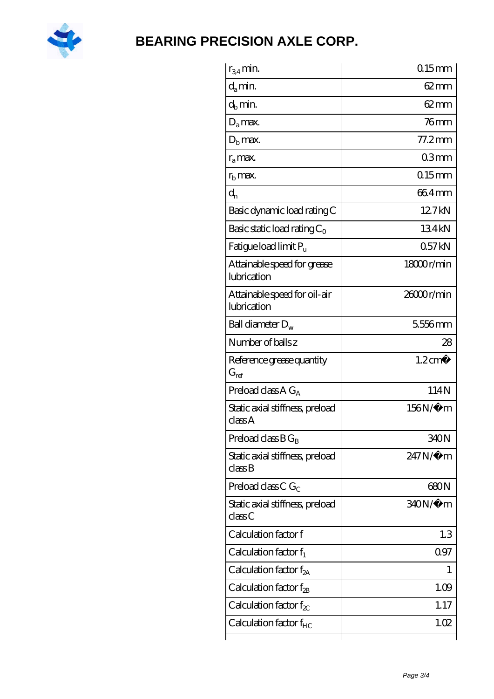

| $r_{34}$ min.                                   | $0.15$ <sub>mm</sub> |
|-------------------------------------------------|----------------------|
| $d_a$ min.                                      | $62 \text{mm}$       |
| $d_b$ min.                                      | $62 \text{mm}$       |
| $D_a$ max.                                      | $76$ mm              |
| $Db$ max.                                       | $77.2$ mm            |
| $r_{a}$ max.                                    | 03mm                 |
| $rb$ max.                                       | $0.15$ <sub>mm</sub> |
| $d_{n}$                                         | 664mm                |
| Basic dynamic load rating C                     | 127kN                |
| Basic static load rating $C_0$                  | 134kN                |
| Fatigue load limit Pu                           | 057kN                |
| Attainable speed for grease<br>lubrication      | 1800r/min            |
| Attainable speed for oil-air<br>lubrication     | 26000r/min           |
| Ball diameter $D_w$                             | 5556mm               |
| Number of balls z                               | 28                   |
| Reference grease quantity<br>$G_{\mathrm{ref}}$ | $1.2 \text{ cm}^3$   |
| Preload class A $G_A$                           | 114N                 |
| Static axial stiffness, preload<br>classA       | 156N/μ m             |
| Preload class $BG_B$                            | 340N                 |
| Static axial stiffness, preload<br>classB       | 247N/µ m             |
| Preload class C $G_C$                           |                      |
|                                                 | 680N                 |
| Static axial stiffness, preload<br>class C      | 340N/µ m             |
| Calculation factor f                            | 1.3                  |
| Calculation factor $f_1$                        | 097                  |
| Calculation factor $f_{2A}$                     | 1                    |
| Calculation factor $f_{\rm 2B}$                 | 1.09                 |
| Calculation factor $f_{\chi}$                   | 1.17                 |
| Calculation factor $f_{HC}$                     | 1.02                 |